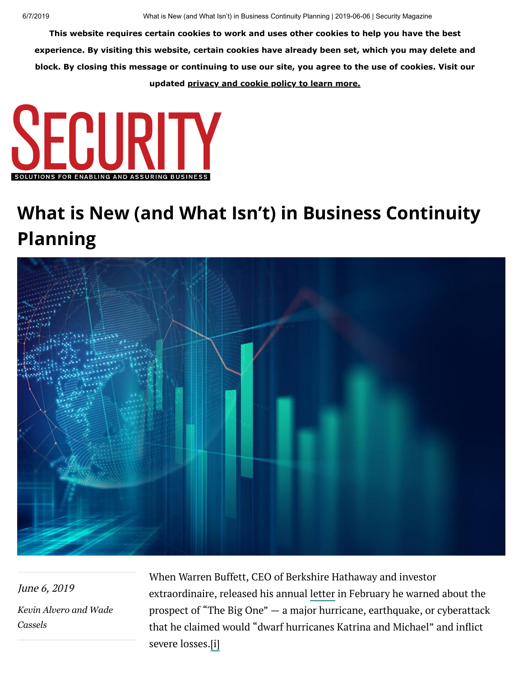**This website requires certain cookies to work and uses other cookies to help you have the best experience. By visiting this website, certain cookies have already been set, which you may delete and block. By closing this message or continuing to use our site, you agree to the use of cookies. Visit our updated [privacy and cookie policy to learn more.](https://www.securitymagazine.com/privacy)**



## **What is New (and What Isn't) in Business Continuity Planning**



June 6, 2019 *[Kevin Alver](https://www.securitymagazine.com/authors/2633-kevin-alvero)[o and Wade](https://www.securitymagazine.com/authors/2634-wade-cassels) Cassels*

When Warren Buffett, CEO of Berkshire Hathaway and investor extraordinaire, released his annual [letter](https://www.businessinsider.com/warren-buffett-warns-big-one-hurricane-earthquake-security-2019-2) in February he warned about the prospect of "The Big One" — a major hurricane, earthquake, or cyberattack that he claimed would "dwarf hurricanes Katrina and Michael" and inflict severe losses.[i]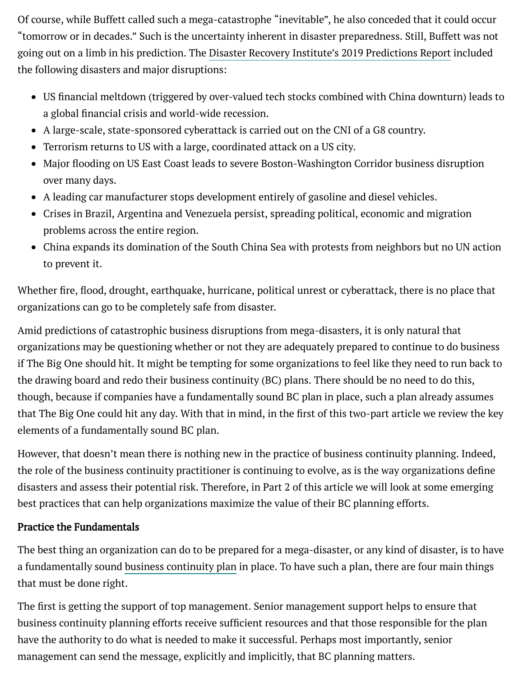Of course, while Buffett called such a mega-catastrophe "inevitable", he also conceded that it could occur "tomorrow or in decades." Such is the uncertainty inherent in disaster preparedness. Still, Buffett was not going out on a limb in his prediction. The Disaster Recovery Institute's 2019 [Predictions](https://drive.drii.org/2019/01/07/download-the-2019-predictions-report/) Report included the following disasters and major disruptions:

- US financial meltdown (triggered by over-valued tech stocks combined with China downturn) leads to a global financial crisis and world-wide recession.
- A large-scale, state-sponsored cyberattack is carried out on the CNI of a G8 country.
- Terrorism returns to US with a large, coordinated attack on a US city.
- Major flooding on US East Coast leads to severe Boston-Washington Corridor business disruption over many days.
- A leading car manufacturer stops development entirely of gasoline and diesel vehicles.
- Crises in Brazil, Argentina and Venezuela persist, spreading political, economic and migration problems across the entire region.
- China expands its domination of the South China Sea with protests from neighbors but no UN action to prevent it.

Whether fire, flood, drought, earthquake, hurricane, political unrest or cyberattack, there is no place that organizations can go to be completely safe from disaster.

Amid predictions of catastrophic business disruptions from mega-disasters, it is only natural that organizations may be questioning whether or not they are adequately prepared to continue to do business if The Big One should hit. It might be tempting for some organizations to feel like they need to run back to the drawing board and redo their business continuity (BC) plans. There should be no need to do this, though, because if companies have a fundamentally sound BC plan in place, such a plan already assumes that The Big One could hit any day. With that in mind, in the first of this two-part article we review the key elements of a fundamentally sound BC plan.

However, that doesn't mean there is nothing new in the practice of business continuity planning. Indeed, the role of the business continuity practitioner is continuing to evolve, as is the way organizations define disasters and assess their potential risk. Therefore, in Part 2 of this article we will look at some emerging best practices that can help organizations maximize the value of their BC planning efforts.

## Practice the Fundamentals

The best thing an organization can do to be prepared for a mega-disaster, or any kind of disaster, is to have a fundamentally sound business [continuity](https://www.csoonline.com/article/2118605/business-continuity-and-disaster-recovery-planning-the-basics.html) plan in place. To have such a plan, there are four main things that must be done right.

management can send the message, explicitly and implicitly, that BC planning matters. The first is getting the support of top management. Senior management support helps to ensure that business continuity planning efforts receive sufficient resources and that those responsible for the plan have the authority to do what is needed to make it successful. Perhaps most importantly, senior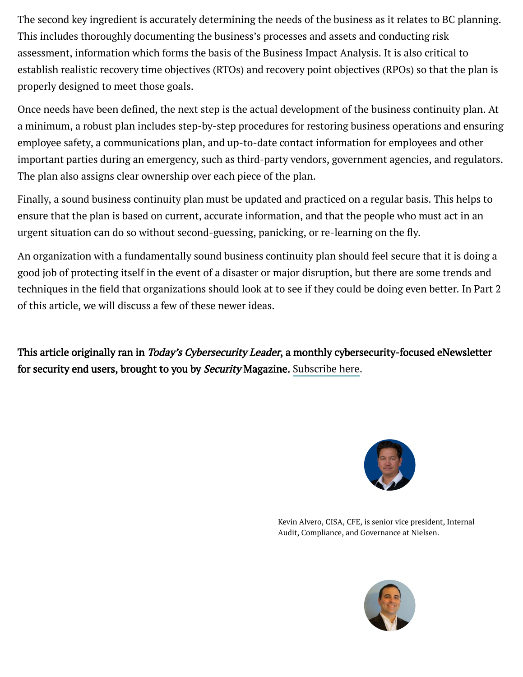The second key ingredient is accurately determining the needs of the business as it relates to BC planning. This includes thoroughly documenting the business's processes and assets and conducting risk assessment, information which forms the basis of the Business Impact Analysis. It is also critical to establish realistic recovery time objectives (RTOs) and recovery point objectives (RPOs) so that the plan is properly designed to meet those goals.

Once needs have been defined, the next step is the actual development of the business continuity plan. At a minimum, a robust plan includes step-by-step procedures for restoring business operations and ensuring employee safety, a communications plan, and up-to-date contact information for employees and other important parties during an emergency, such as third-party vendors, government agencies, and regulators. The plan also assigns clear ownership over each piece of the plan.

Finally, a sound business continuity plan must be updated and practiced on a regular basis. This helps to ensure that the plan is based on current, accurate information, and that the people who must act in an urgent situation can do so without second-guessing, panicking, or re-learning on the fly.

An organization with a fundamentally sound business continuity plan should feel secure that it is doing a good job of protecting itself in the event of a disaster or major disruption, but there are some trends and techniques in the field that organizations should look at to see if they could be doing even better. In Part 2 of this article, we will discuss a few of these newer ideas.

This article originally ran in *Today's Cybersecurity Leader*, a monthly cybersecurity-focused eNewsletter for security end users, brought to you by Security Magazine. [Subscribe](https://bnp.dragonforms.com/init.do?pk=W.HOME&omedasite=BNP6090_Vtnew) here.



Kevin Alvero, CISA, CFE, is senior vice president, Internal Audit, Compliance, and Governance at Nielsen.